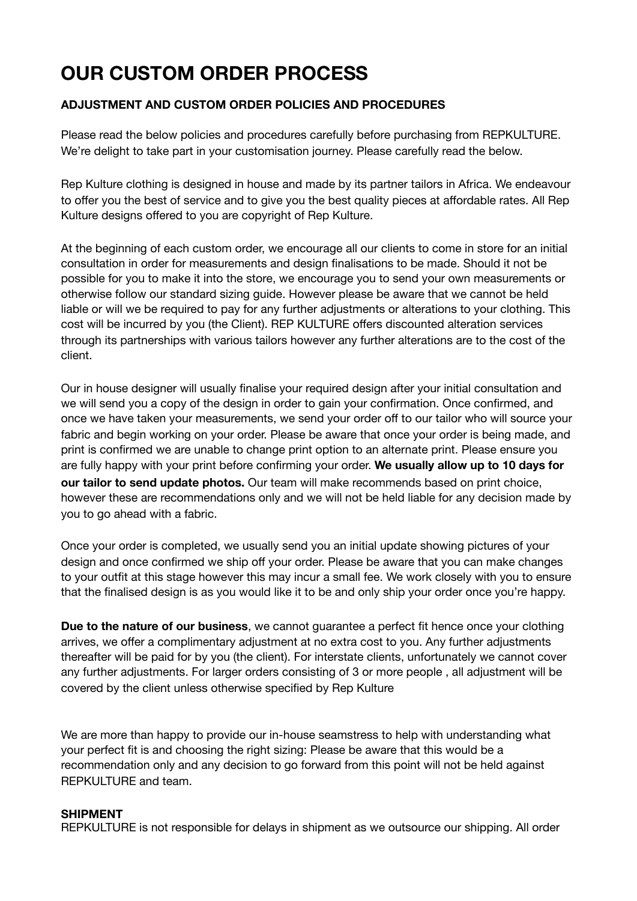# **OUR CUSTOM ORDER PROCESS**

## **ADJUSTMENT AND CUSTOM ORDER POLICIES AND PROCEDURES**

Please read the below policies and procedures carefully before purchasing from REPKULTURE. We're delight to take part in your customisation journey. Please carefully read the below.

Rep Kulture clothing is designed in house and made by its partner tailors in Africa. We endeavour to offer you the best of service and to give you the best quality pieces at affordable rates. All Rep Kulture designs offered to you are copyright of Rep Kulture.

At the beginning of each custom order, we encourage all our clients to come in store for an initial consultation in order for measurements and design finalisations to be made. Should it not be possible for you to make it into the store, we encourage you to send your own measurements or otherwise follow our standard sizing guide. However please be aware that we cannot be held liable or will we be required to pay for any further adjustments or alterations to your clothing. This cost will be incurred by you (the Client). REP KULTURE offers discounted alteration services through its partnerships with various tailors however any further alterations are to the cost of the client.

Our in house designer will usually finalise your required design after your initial consultation and we will send you a copy of the design in order to gain your confirmation. Once confirmed, and once we have taken your measurements, we send your order off to our tailor who will source your fabric and begin working on your order. Please be aware that once your order is being made, and print is confirmed we are unable to change print option to an alternate print. Please ensure you are fully happy with your print before confirming your order. **We usually allow up to 10 days for our tailor to send update photos.** Our team will make recommends based on print choice, however these are recommendations only and we will not be held liable for any decision made by you to go ahead with a fabric.

Once your order is completed, we usually send you an initial update showing pictures of your design and once confirmed we ship off your order. Please be aware that you can make changes to your outfit at this stage however this may incur a small fee. We work closely with you to ensure that the finalised design is as you would like it to be and only ship your order once you're happy.

**Due to the nature of our business**, we cannot guarantee a perfect fit hence once your clothing arrives, we offer a complimentary adjustment at no extra cost to you. Any further adjustments thereafter will be paid for by you (the client). For interstate clients, unfortunately we cannot cover any further adjustments. For larger orders consisting of 3 or more people , all adjustment will be covered by the client unless otherwise specified by Rep Kulture

We are more than happy to provide our in-house seamstress to help with understanding what your perfect fit is and choosing the right sizing: Please be aware that this would be a recommendation only and any decision to go forward from this point will not be held against REPKULTURE and team.

### **SHIPMENT**

REPKULTURE is not responsible for delays in shipment as we outsource our shipping. All order